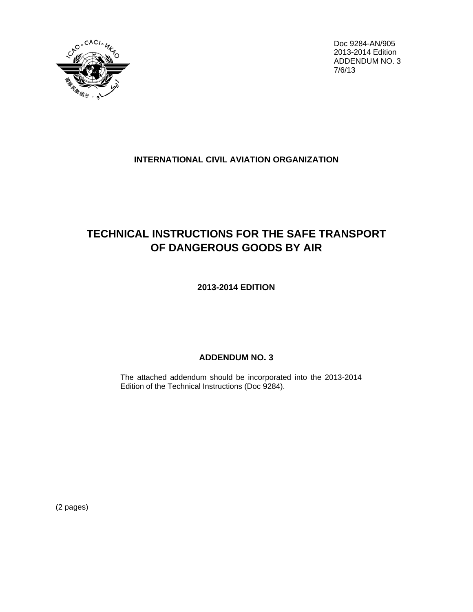

Doc 9284-AN/905 2013-2014 Edition ADDENDUM NO. 3  $7/6/13$ 

## **INTERNATIONAL CIVIL AVIATION ORGANIZATION**

## **TECHNICAL INSTRUCTIONS FOR THE SAFE TRANSPORT** OF DANGEROUS GOODS BY AIR

2013-2014 EDITION

## **ADDENDUM NO. 3**

The attached addendum should be incorporated into the 2013-2014 Edition of the Technical Instructions (Doc 9284).

(2 pages)